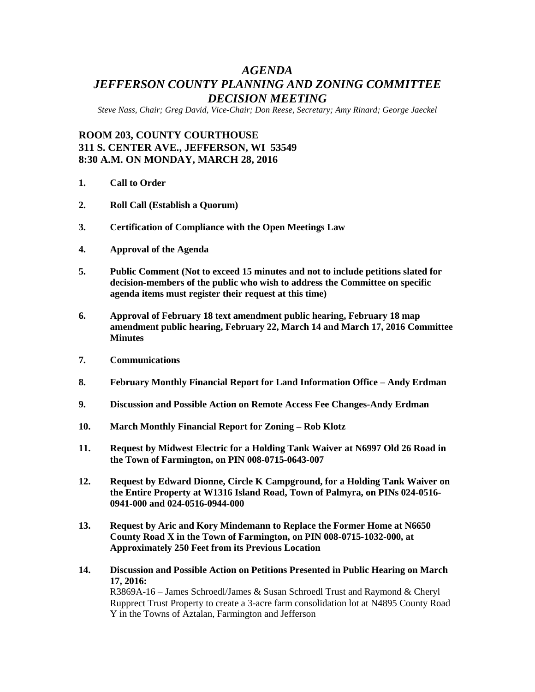# *AGENDA JEFFERSON COUNTY PLANNING AND ZONING COMMITTEE DECISION MEETING*

*Steve Nass, Chair; Greg David, Vice-Chair; Don Reese, Secretary; Amy Rinard; George Jaeckel*

## **ROOM 203, COUNTY COURTHOUSE 311 S. CENTER AVE., JEFFERSON, WI 53549 8:30 A.M. ON MONDAY, MARCH 28, 2016**

- **1. Call to Order**
- **2. Roll Call (Establish a Quorum)**
- **3. Certification of Compliance with the Open Meetings Law**
- **4. Approval of the Agenda**
- **5. Public Comment (Not to exceed 15 minutes and not to include petitions slated for decision-members of the public who wish to address the Committee on specific agenda items must register their request at this time)**
- **6. Approval of February 18 text amendment public hearing, February 18 map amendment public hearing, February 22, March 14 and March 17, 2016 Committee Minutes**
- **7. Communications**
- **8. February Monthly Financial Report for Land Information Office – Andy Erdman**
- **9. Discussion and Possible Action on Remote Access Fee Changes-Andy Erdman**
- **10. March Monthly Financial Report for Zoning – Rob Klotz**
- **11. Request by Midwest Electric for a Holding Tank Waiver at N6997 Old 26 Road in the Town of Farmington, on PIN 008-0715-0643-007**
- **12. Request by Edward Dionne, Circle K Campground, for a Holding Tank Waiver on the Entire Property at W1316 Island Road, Town of Palmyra, on PINs 024-0516- 0941-000 and 024-0516-0944-000**
- **13. Request by Aric and Kory Mindemann to Replace the Former Home at N6650 County Road X in the Town of Farmington, on PIN 008-0715-1032-000, at Approximately 250 Feet from its Previous Location**
- **14. Discussion and Possible Action on Petitions Presented in Public Hearing on March 17, 2016:** R3869A-16 – James Schroedl/James & Susan Schroedl Trust and Raymond & Cheryl

Rupprect Trust Property to create a 3-acre farm consolidation lot at N4895 County Road Y in the Towns of Aztalan, Farmington and Jefferson